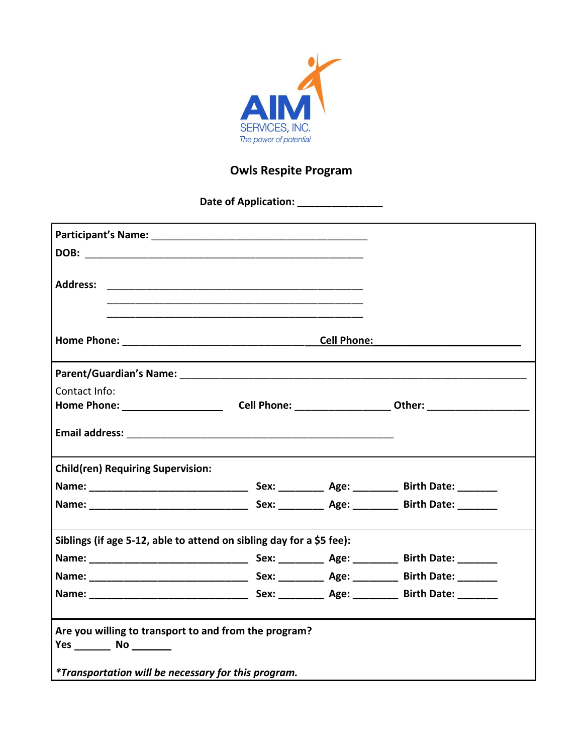

## **Owls Respite Program**

**\_\_\_\_\_\_\_\_\_\_\_\_\_\_\_ Date of Application:** 

| <b>Address:</b>                                                                                                     |                    |  |
|---------------------------------------------------------------------------------------------------------------------|--------------------|--|
|                                                                                                                     |                    |  |
|                                                                                                                     |                    |  |
|                                                                                                                     | <b>Cell Phone:</b> |  |
|                                                                                                                     |                    |  |
| Contact Info:                                                                                                       |                    |  |
| Home Phone: __________________________Cell Phone: ____________________Other: _______________________                |                    |  |
|                                                                                                                     |                    |  |
| <b>Child(ren) Requiring Supervision:</b>                                                                            |                    |  |
|                                                                                                                     |                    |  |
|                                                                                                                     |                    |  |
| Siblings (if age 5-12, able to attend on sibling day for a \$5 fee):                                                |                    |  |
|                                                                                                                     |                    |  |
|                                                                                                                     |                    |  |
|                                                                                                                     |                    |  |
| Are you willing to transport to and from the program?<br><i>*Transportation will be necessary for this program.</i> |                    |  |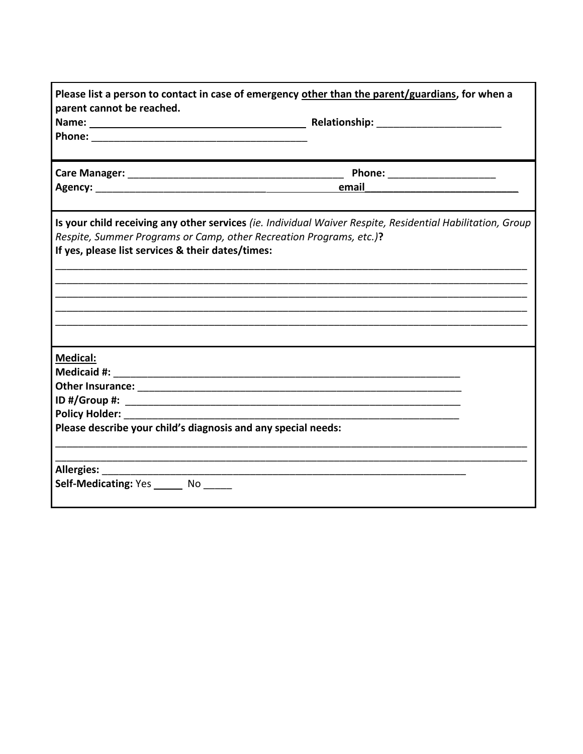|                                                               | Phone: _________________________                                                                           |  |  |
|---------------------------------------------------------------|------------------------------------------------------------------------------------------------------------|--|--|
|                                                               |                                                                                                            |  |  |
|                                                               | Is your child receiving any other services (ie. Individual Waiver Respite, Residential Habilitation, Group |  |  |
|                                                               | Respite, Summer Programs or Camp, other Recreation Programs, etc.)?                                        |  |  |
| If yes, please list services & their dates/times:             |                                                                                                            |  |  |
|                                                               |                                                                                                            |  |  |
|                                                               |                                                                                                            |  |  |
|                                                               |                                                                                                            |  |  |
|                                                               |                                                                                                            |  |  |
|                                                               |                                                                                                            |  |  |
|                                                               |                                                                                                            |  |  |
| <b>Medical:</b>                                               |                                                                                                            |  |  |
|                                                               |                                                                                                            |  |  |
|                                                               |                                                                                                            |  |  |
|                                                               |                                                                                                            |  |  |
| <b>Policy Holder: Policy Holder:</b>                          |                                                                                                            |  |  |
| Please describe your child's diagnosis and any special needs: |                                                                                                            |  |  |
| Allergies: Allergies:                                         |                                                                                                            |  |  |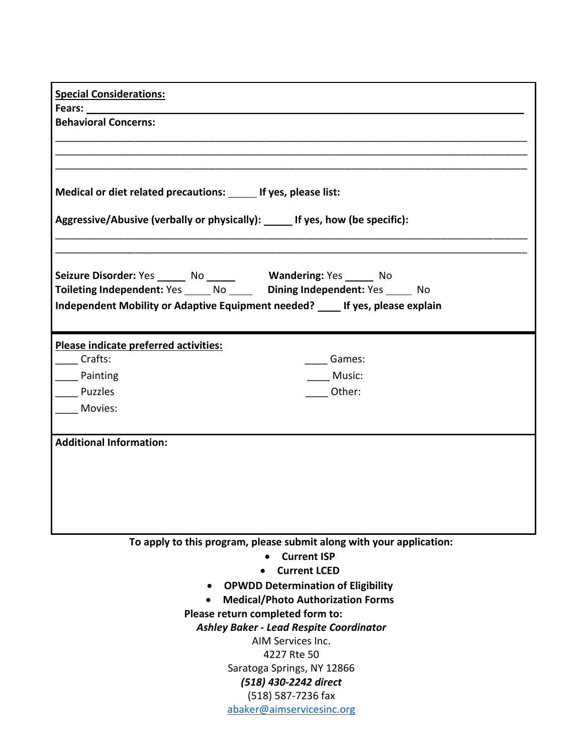| <b>Special Considerations:</b>                                                                                                               |                                                                                |  |  |  |
|----------------------------------------------------------------------------------------------------------------------------------------------|--------------------------------------------------------------------------------|--|--|--|
| Fears: 1990 1991 1992                                                                                                                        |                                                                                |  |  |  |
| <b>Behavioral Concerns:</b>                                                                                                                  |                                                                                |  |  |  |
|                                                                                                                                              |                                                                                |  |  |  |
|                                                                                                                                              |                                                                                |  |  |  |
|                                                                                                                                              |                                                                                |  |  |  |
| Medical or diet related precautions: ______ If yes, please list:                                                                             |                                                                                |  |  |  |
| Aggressive/Abusive (verbally or physically): ______ If yes, how (be specific):                                                               |                                                                                |  |  |  |
| Seizure Disorder: Yes ______ No ______ Wandering: Yes _____ No<br>Toileting Independent: Yes _____ No _____ Dining Independent: Yes _____ No |                                                                                |  |  |  |
|                                                                                                                                              | Independent Mobility or Adaptive Equipment needed? ____ If yes, please explain |  |  |  |
| Please indicate preferred activities:                                                                                                        |                                                                                |  |  |  |
| Crafts:                                                                                                                                      | Games:                                                                         |  |  |  |
| Painting                                                                                                                                     | Music:                                                                         |  |  |  |
| Puzzles                                                                                                                                      | Other:                                                                         |  |  |  |
| Movies:                                                                                                                                      |                                                                                |  |  |  |
|                                                                                                                                              |                                                                                |  |  |  |
| <b>Additional Information:</b>                                                                                                               |                                                                                |  |  |  |
|                                                                                                                                              |                                                                                |  |  |  |
|                                                                                                                                              |                                                                                |  |  |  |
|                                                                                                                                              |                                                                                |  |  |  |
|                                                                                                                                              |                                                                                |  |  |  |
|                                                                                                                                              |                                                                                |  |  |  |
|                                                                                                                                              |                                                                                |  |  |  |
|                                                                                                                                              | To apply to this program, please submit along with your application:           |  |  |  |
|                                                                                                                                              | <b>Current ISP</b>                                                             |  |  |  |
|                                                                                                                                              | <b>Current LCED</b>                                                            |  |  |  |
|                                                                                                                                              | <b>OPWDD Determination of Eligibility</b>                                      |  |  |  |
|                                                                                                                                              | <b>Medical/Photo Authorization Forms</b>                                       |  |  |  |
|                                                                                                                                              | Please return completed form to:                                               |  |  |  |
|                                                                                                                                              | <b>Ashley Baker - Lead Respite Coordinator</b>                                 |  |  |  |
|                                                                                                                                              | AIM Services Inc.                                                              |  |  |  |
|                                                                                                                                              | 4227 Rte 50                                                                    |  |  |  |
|                                                                                                                                              | Saratoga Springs, NY 12866                                                     |  |  |  |
|                                                                                                                                              | (518) 430-2242 direct                                                          |  |  |  |
|                                                                                                                                              | (518) 587-7236 fax                                                             |  |  |  |
|                                                                                                                                              | abaker@aimservicesinc.org                                                      |  |  |  |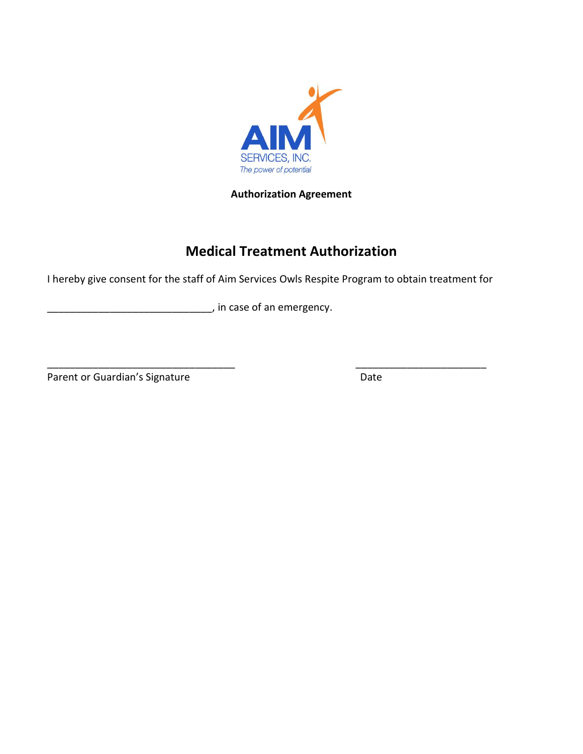

**Authorization Agreement** 

## **Medical Treatment Authorization**

I hereby give consent for the staff of Aim Services Owls Respite Program to obtain treatment for

\_\_\_\_\_\_\_\_\_\_\_\_\_\_\_\_\_\_\_\_\_\_\_\_\_\_\_\_\_\_\_\_\_ \_\_\_\_\_\_\_\_\_\_\_\_\_\_\_\_\_\_\_\_\_\_\_

\_\_\_\_\_\_\_\_\_\_\_\_\_\_\_\_\_\_\_\_\_\_\_\_\_\_\_\_\_ , in case of an emergency.

Parent or Guardian's Signature Date Date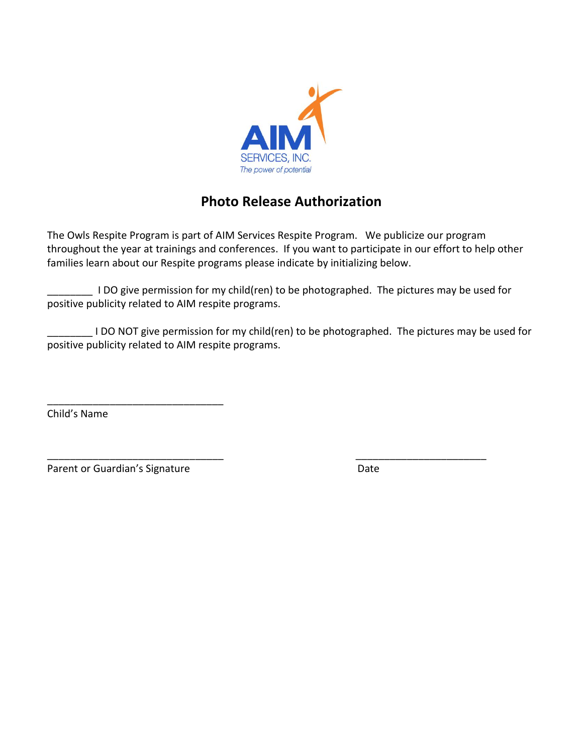

## **Photo Release Authorization**

The Owls Respite Program is part of AIM Services Respite Program. We publicize our program throughout the year at trainings and conferences. If you want to participate in our effort to help other families learn about our Respite programs please indicate by initializing below.

\_\_\_\_\_\_\_\_ I DO give permission for my child(ren) to be photographed. The pictures may be used for positive publicity related to AIM respite programs.

\_\_\_\_\_\_\_\_\_\_\_\_\_\_\_\_\_\_\_\_\_\_\_\_\_\_\_\_\_\_\_ \_\_\_\_\_\_\_\_\_\_\_\_\_\_\_\_\_\_\_\_\_\_\_

\_\_\_\_\_\_\_\_ I DO NOT give permission for my child(ren) to be photographed. The pictures may be used for positive publicity related to AIM respite programs.

Child's Name

Parent or Guardian's Signature Date Date

\_\_\_\_\_\_\_\_\_\_\_\_\_\_\_\_\_\_\_\_\_\_\_\_\_\_\_\_\_\_\_